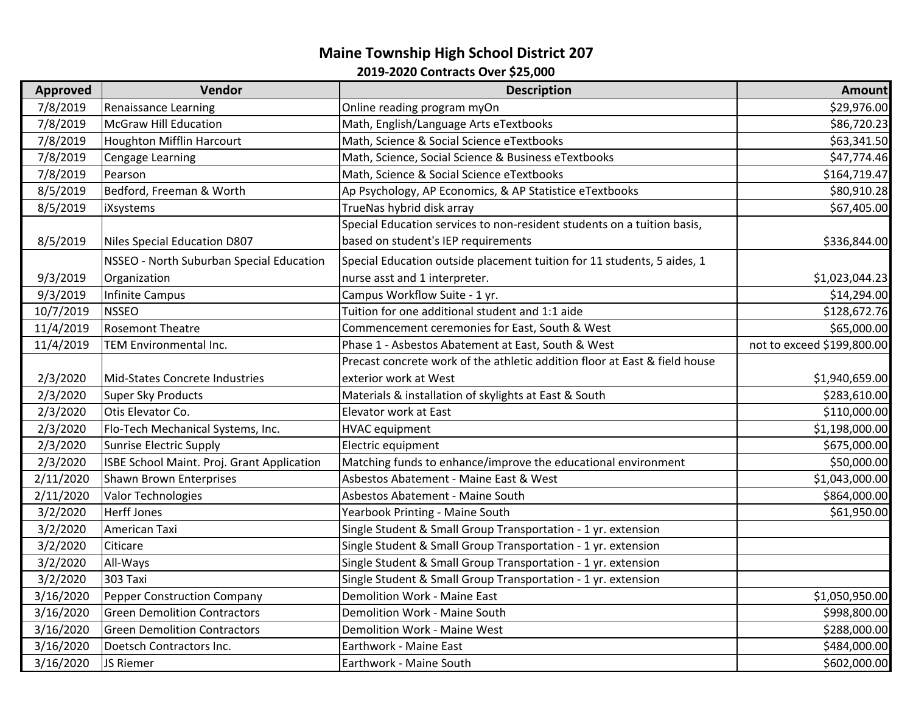## **Maine Township High School District 207 2019‐2020 Contracts Over \$25,000**

| <b>Approved</b> | Vendor                                     | <b>Description</b>                                                         | <b>Amount</b>              |
|-----------------|--------------------------------------------|----------------------------------------------------------------------------|----------------------------|
| 7/8/2019        | <b>Renaissance Learning</b>                | Online reading program myOn                                                | \$29,976.00                |
| 7/8/2019        | <b>McGraw Hill Education</b>               | Math, English/Language Arts eTextbooks                                     | \$86,720.23                |
| 7/8/2019        | <b>Houghton Mifflin Harcourt</b>           | Math, Science & Social Science eTextbooks                                  | \$63,341.50                |
| 7/8/2019        | <b>Cengage Learning</b>                    | Math, Science, Social Science & Business eTextbooks                        | \$47,774.46                |
| 7/8/2019        | Pearson                                    | Math, Science & Social Science eTextbooks                                  | \$164,719.47               |
| 8/5/2019        | Bedford, Freeman & Worth                   | Ap Psychology, AP Economics, & AP Statistice eTextbooks                    | \$80,910.28                |
| 8/5/2019        | iXsystems                                  | TrueNas hybrid disk array                                                  | \$67,405.00                |
|                 |                                            | Special Education services to non-resident students on a tuition basis,    |                            |
| 8/5/2019        | Niles Special Education D807               | based on student's IEP requirements                                        | \$336,844.00               |
|                 | NSSEO - North Suburban Special Education   | Special Education outside placement tuition for 11 students, 5 aides, 1    |                            |
| 9/3/2019        | Organization                               | nurse asst and 1 interpreter.                                              | \$1,023,044.23             |
| 9/3/2019        | <b>Infinite Campus</b>                     | Campus Workflow Suite - 1 yr.                                              | \$14,294.00                |
| 10/7/2019       | <b>NSSEO</b>                               | Tuition for one additional student and 1:1 aide                            | \$128,672.76               |
| 11/4/2019       | <b>Rosemont Theatre</b>                    | Commencement ceremonies for East, South & West                             | \$65,000.00                |
| 11/4/2019       | TEM Environmental Inc.                     | Phase 1 - Asbestos Abatement at East, South & West                         | not to exceed \$199,800.00 |
|                 |                                            | Precast concrete work of the athletic addition floor at East & field house |                            |
| 2/3/2020        | Mid-States Concrete Industries             | exterior work at West                                                      | \$1,940,659.00             |
| 2/3/2020        | <b>Super Sky Products</b>                  | Materials & installation of skylights at East & South                      | \$283,610.00               |
| 2/3/2020        | Otis Elevator Co.                          | Elevator work at East                                                      | \$110,000.00               |
| 2/3/2020        | Flo-Tech Mechanical Systems, Inc.          | <b>HVAC</b> equipment                                                      | \$1,198,000.00             |
| 2/3/2020        | <b>Sunrise Electric Supply</b>             | Electric equipment                                                         | \$675,000.00               |
| 2/3/2020        | ISBE School Maint. Proj. Grant Application | Matching funds to enhance/improve the educational environment              | \$50,000.00                |
| 2/11/2020       | Shawn Brown Enterprises                    | Asbestos Abatement - Maine East & West                                     | \$1,043,000.00             |
| 2/11/2020       | Valor Technologies                         | Asbestos Abatement - Maine South                                           | \$864,000.00               |
| 3/2/2020        | <b>Herff Jones</b>                         | Yearbook Printing - Maine South                                            | \$61,950.00                |
| 3/2/2020        | American Taxi                              | Single Student & Small Group Transportation - 1 yr. extension              |                            |
| 3/2/2020        | Citicare                                   | Single Student & Small Group Transportation - 1 yr. extension              |                            |
| 3/2/2020        | All-Ways                                   | Single Student & Small Group Transportation - 1 yr. extension              |                            |
| 3/2/2020        | 303 Taxi                                   | Single Student & Small Group Transportation - 1 yr. extension              |                            |
| 3/16/2020       | <b>Pepper Construction Company</b>         | <b>Demolition Work - Maine East</b>                                        | \$1,050,950.00             |
| 3/16/2020       | <b>Green Demolition Contractors</b>        | Demolition Work - Maine South                                              | \$998,800.00               |
| 3/16/2020       | <b>Green Demolition Contractors</b>        | Demolition Work - Maine West                                               | \$288,000.00               |
| 3/16/2020       | Doetsch Contractors Inc.                   | Earthwork - Maine East                                                     | \$484,000.00               |
| 3/16/2020       | JS Riemer                                  | Earthwork - Maine South                                                    | \$602,000.00               |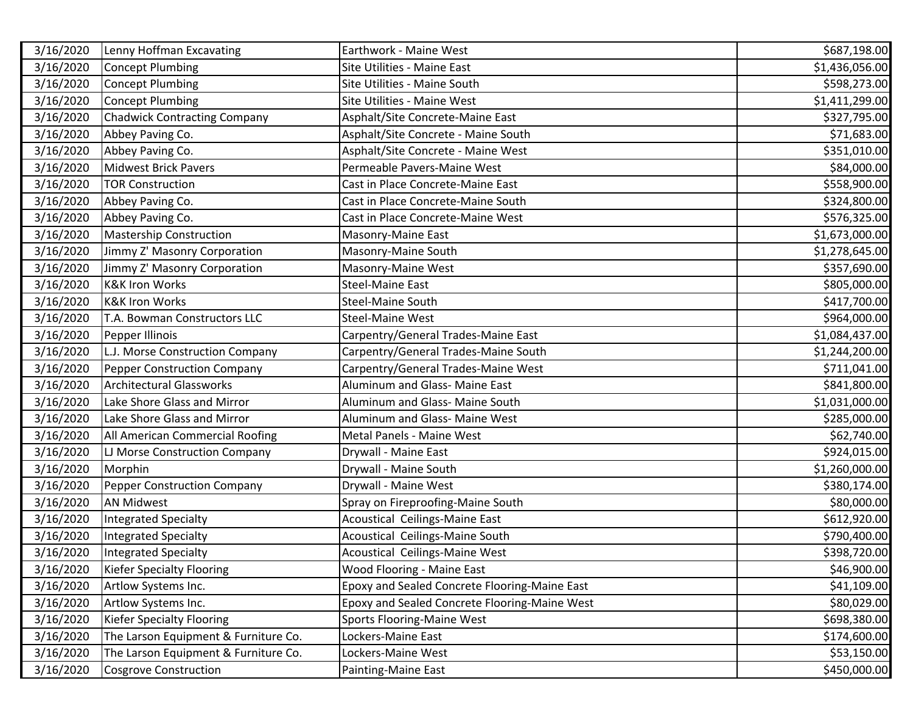| 3/16/2020 | Lenny Hoffman Excavating             | Earthwork - Maine West                        | \$687,198.00   |
|-----------|--------------------------------------|-----------------------------------------------|----------------|
| 3/16/2020 | Concept Plumbing                     | Site Utilities - Maine East                   | \$1,436,056.00 |
| 3/16/2020 | Concept Plumbing                     | Site Utilities - Maine South                  | \$598,273.00   |
| 3/16/2020 | <b>Concept Plumbing</b>              | Site Utilities - Maine West                   | \$1,411,299.00 |
| 3/16/2020 | <b>Chadwick Contracting Company</b>  | Asphalt/Site Concrete-Maine East              | \$327,795.00   |
| 3/16/2020 | Abbey Paving Co.                     | Asphalt/Site Concrete - Maine South           | \$71,683.00    |
| 3/16/2020 | Abbey Paving Co.                     | Asphalt/Site Concrete - Maine West            | \$351,010.00   |
| 3/16/2020 | <b>Midwest Brick Pavers</b>          | Permeable Pavers-Maine West                   | \$84,000.00    |
| 3/16/2020 | <b>TOR Construction</b>              | Cast in Place Concrete-Maine East             | \$558,900.00   |
| 3/16/2020 | Abbey Paving Co.                     | Cast in Place Concrete-Maine South            | \$324,800.00   |
| 3/16/2020 | Abbey Paving Co.                     | Cast in Place Concrete-Maine West             | \$576,325.00   |
| 3/16/2020 | <b>Mastership Construction</b>       | Masonry-Maine East                            | \$1,673,000.00 |
| 3/16/2020 | Jimmy Z' Masonry Corporation         | Masonry-Maine South                           | \$1,278,645.00 |
| 3/16/2020 | Jimmy Z' Masonry Corporation         | Masonry-Maine West                            | \$357,690.00   |
| 3/16/2020 | <b>K&amp;K Iron Works</b>            | <b>Steel-Maine East</b>                       | \$805,000.00   |
| 3/16/2020 | <b>K&amp;K Iron Works</b>            | <b>Steel-Maine South</b>                      | \$417,700.00   |
| 3/16/2020 | T.A. Bowman Constructors LLC         | <b>Steel-Maine West</b>                       | \$964,000.00   |
| 3/16/2020 | Pepper Illinois                      | Carpentry/General Trades-Maine East           | \$1,084,437.00 |
| 3/16/2020 | L.J. Morse Construction Company      | Carpentry/General Trades-Maine South          | \$1,244,200.00 |
| 3/16/2020 | <b>Pepper Construction Company</b>   | Carpentry/General Trades-Maine West           | \$711,041.00   |
| 3/16/2020 | <b>Architectural Glassworks</b>      | Aluminum and Glass- Maine East                | \$841,800.00   |
| 3/16/2020 | Lake Shore Glass and Mirror          | Aluminum and Glass- Maine South               | \$1,031,000.00 |
| 3/16/2020 | Lake Shore Glass and Mirror          | Aluminum and Glass- Maine West                | \$285,000.00   |
| 3/16/2020 | All American Commercial Roofing      | Metal Panels - Maine West                     | \$62,740.00    |
| 3/16/2020 | LJ Morse Construction Company        | Drywall - Maine East                          | \$924,015.00   |
| 3/16/2020 | Morphin                              | Drywall - Maine South                         | \$1,260,000.00 |
| 3/16/2020 | <b>Pepper Construction Company</b>   | Drywall - Maine West                          | \$380,174.00   |
| 3/16/2020 | <b>AN Midwest</b>                    | Spray on Fireproofing-Maine South             | \$80,000.00    |
| 3/16/2020 | <b>Integrated Specialty</b>          | Acoustical Ceilings-Maine East                | \$612,920.00   |
| 3/16/2020 | <b>Integrated Specialty</b>          | Acoustical Ceilings-Maine South               | \$790,400.00   |
| 3/16/2020 | Integrated Specialty                 | Acoustical Ceilings-Maine West                | \$398,720.00   |
| 3/16/2020 | <b>Kiefer Specialty Flooring</b>     | Wood Flooring - Maine East                    | \$46,900.00    |
| 3/16/2020 | Artlow Systems Inc.                  | Epoxy and Sealed Concrete Flooring-Maine East | \$41,109.00    |
| 3/16/2020 | Artlow Systems Inc.                  | Epoxy and Sealed Concrete Flooring-Maine West | \$80,029.00    |
| 3/16/2020 | <b>Kiefer Specialty Flooring</b>     | <b>Sports Flooring-Maine West</b>             | \$698,380.00   |
| 3/16/2020 | The Larson Equipment & Furniture Co. | Lockers-Maine East                            | \$174,600.00   |
| 3/16/2020 | The Larson Equipment & Furniture Co. | Lockers-Maine West                            | \$53,150.00    |
| 3/16/2020 | Cosgrove Construction                | Painting-Maine East                           | \$450,000.00   |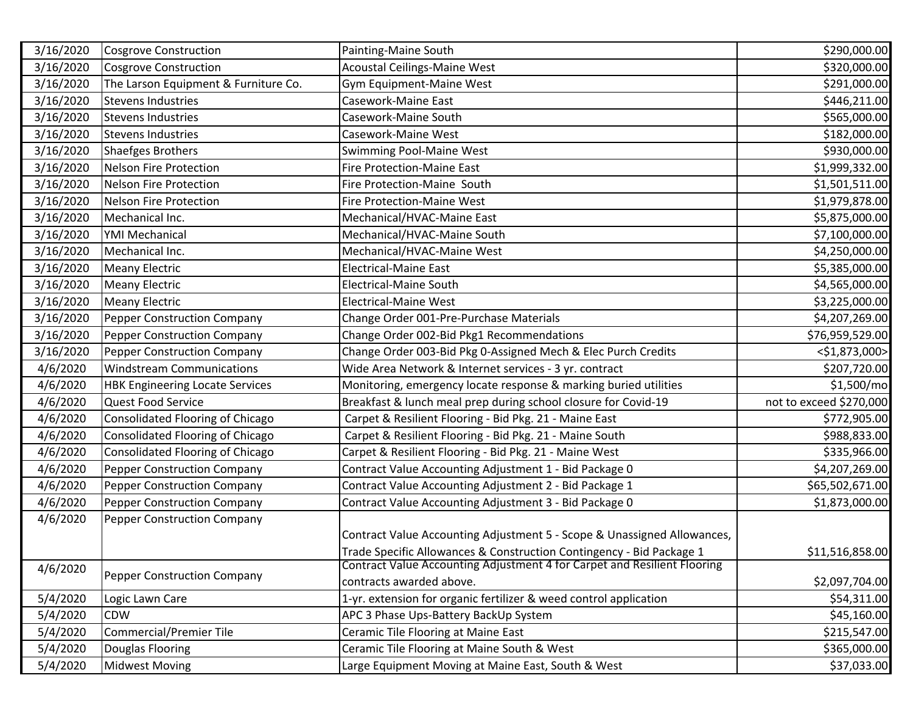| 3/16/2020 | Cosgrove Construction                  | Painting-Maine South                                                     | \$290,000.00            |
|-----------|----------------------------------------|--------------------------------------------------------------------------|-------------------------|
| 3/16/2020 | Cosgrove Construction                  | <b>Acoustal Ceilings-Maine West</b>                                      | \$320,000.00            |
| 3/16/2020 | The Larson Equipment & Furniture Co.   | Gym Equipment-Maine West                                                 | \$291,000.00            |
| 3/16/2020 | <b>Stevens Industries</b>              | Casework-Maine East                                                      | \$446,211.00            |
| 3/16/2020 | <b>Stevens Industries</b>              | Casework-Maine South                                                     | \$565,000.00            |
| 3/16/2020 | <b>Stevens Industries</b>              | Casework-Maine West                                                      | \$182,000.00            |
| 3/16/2020 | Shaefges Brothers                      | Swimming Pool-Maine West                                                 | \$930,000.00            |
| 3/16/2020 | Nelson Fire Protection                 | <b>Fire Protection-Maine East</b>                                        | \$1,999,332.00          |
| 3/16/2020 | Nelson Fire Protection                 | Fire Protection-Maine South                                              | \$1,501,511.00          |
| 3/16/2020 | Nelson Fire Protection                 | <b>Fire Protection-Maine West</b>                                        | \$1,979,878.00          |
| 3/16/2020 | Mechanical Inc.                        | Mechanical/HVAC-Maine East                                               | \$5,875,000.00          |
| 3/16/2020 | <b>YMI Mechanical</b>                  | Mechanical/HVAC-Maine South                                              | \$7,100,000.00          |
| 3/16/2020 | Mechanical Inc.                        | Mechanical/HVAC-Maine West                                               | \$4,250,000.00          |
| 3/16/2020 | <b>Meany Electric</b>                  | <b>Electrical-Maine East</b>                                             | \$5,385,000.00          |
| 3/16/2020 | <b>Meany Electric</b>                  | <b>Electrical-Maine South</b>                                            | \$4,565,000.00          |
| 3/16/2020 | <b>Meany Electric</b>                  | <b>Electrical-Maine West</b>                                             | \$3,225,000.00          |
| 3/16/2020 | Pepper Construction Company            | Change Order 001-Pre-Purchase Materials                                  | \$4,207,269.00          |
| 3/16/2020 | Pepper Construction Company            | Change Order 002-Bid Pkg1 Recommendations                                | \$76,959,529.00         |
| 3/16/2020 | Pepper Construction Company            | Change Order 003-Bid Pkg 0-Assigned Mech & Elec Purch Credits            | <\$1,873,000>           |
| 4/6/2020  | <b>Windstream Communications</b>       | Wide Area Network & Internet services - 3 yr. contract                   | \$207,720.00            |
| 4/6/2020  | <b>HBK Engineering Locate Services</b> | Monitoring, emergency locate response & marking buried utilities         | \$1,500/mo              |
| 4/6/2020  | Quest Food Service                     | Breakfast & lunch meal prep during school closure for Covid-19           | not to exceed \$270,000 |
| 4/6/2020  | Consolidated Flooring of Chicago       | Carpet & Resilient Flooring - Bid Pkg. 21 - Maine East                   | \$772,905.00            |
| 4/6/2020  | Consolidated Flooring of Chicago       | Carpet & Resilient Flooring - Bid Pkg. 21 - Maine South                  | \$988,833.00            |
| 4/6/2020  | Consolidated Flooring of Chicago       | Carpet & Resilient Flooring - Bid Pkg. 21 - Maine West                   | \$335,966.00            |
| 4/6/2020  | Pepper Construction Company            | Contract Value Accounting Adjustment 1 - Bid Package 0                   | \$4,207,269.00          |
| 4/6/2020  | <b>Pepper Construction Company</b>     | Contract Value Accounting Adjustment 2 - Bid Package 1                   | \$65,502,671.00         |
| 4/6/2020  | <b>Pepper Construction Company</b>     | Contract Value Accounting Adjustment 3 - Bid Package 0                   | \$1,873,000.00          |
| 4/6/2020  | <b>Pepper Construction Company</b>     |                                                                          |                         |
|           |                                        | Contract Value Accounting Adjustment 5 - Scope & Unassigned Allowances,  |                         |
|           |                                        | Trade Specific Allowances & Construction Contingency - Bid Package 1     | \$11,516,858.00         |
| 4/6/2020  | Pepper Construction Company            | Contract Value Accounting Adjustment 4 for Carpet and Resilient Flooring |                         |
|           |                                        | contracts awarded above.                                                 | \$2,097,704.00          |
| 5/4/2020  | Logic Lawn Care                        | 1-yr. extension for organic fertilizer & weed control application        | \$54,311.00             |
| 5/4/2020  | <b>CDW</b>                             | APC 3 Phase Ups-Battery BackUp System                                    | \$45,160.00             |
| 5/4/2020  | Commercial/Premier Tile                | Ceramic Tile Flooring at Maine East                                      | \$215,547.00            |
| 5/4/2020  | Douglas Flooring                       | Ceramic Tile Flooring at Maine South & West                              | \$365,000.00            |
| 5/4/2020  | <b>Midwest Moving</b>                  | Large Equipment Moving at Maine East, South & West                       | \$37,033.00             |